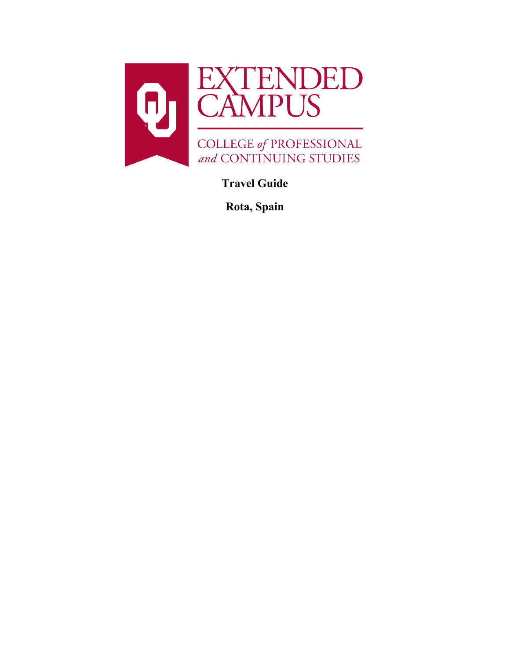

**Travel Guide**

**Rota, Spain**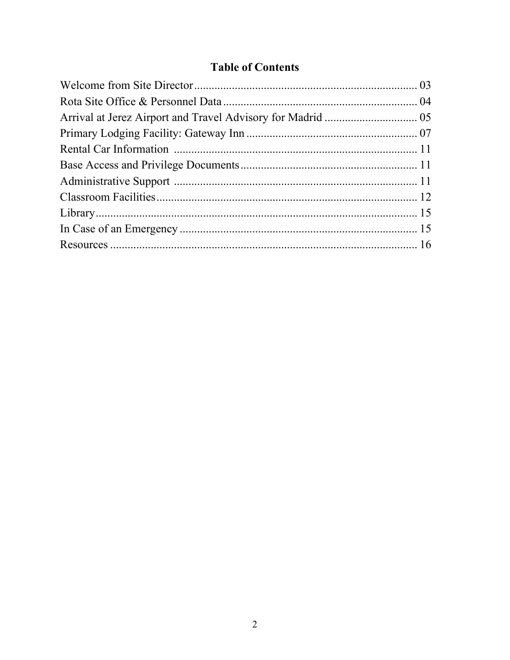# **Table of Contents**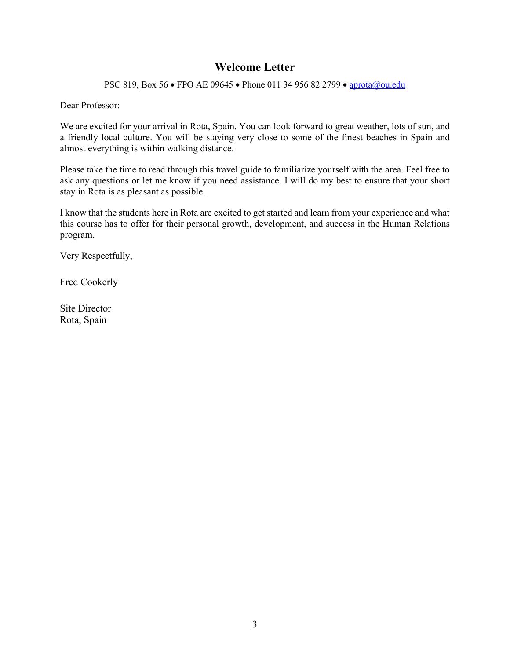## **Welcome Letter**

PSC 819, Box 56 • FPO AE 09645 • Phone 011 34 956 82 2799 • [aprota@ou.edu](mailto:aprota@ou.edu)

Dear Professor:

We are excited for your arrival in Rota, Spain. You can look forward to great weather, lots of sun, and a friendly local culture. You will be staying very close to some of the finest beaches in Spain and almost everything is within walking distance.

Please take the time to read through this travel guide to familiarize yourself with the area. Feel free to ask any questions or let me know if you need assistance. I will do my best to ensure that your short stay in Rota is as pleasant as possible.

I know that the students here in Rota are excited to get started and learn from your experience and what this course has to offer for their personal growth, development, and success in the Human Relations program.

Very Respectfully,

Fred Cookerly

Site Director Rota, Spain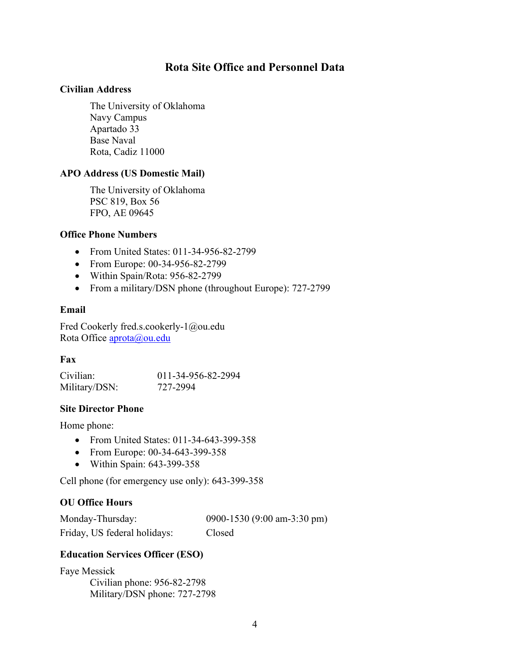### **Rota Site Office and Personnel Data**

### **Civilian Address**

The University of Oklahoma Navy Campus Apartado 33 Base Naval Rota, Cadiz 11000

### **APO Address (US Domestic Mail)**

The University of Oklahoma PSC 819, Box 56 FPO, AE 09645

### **Office Phone Numbers**

- From United States: 011-34-956-82-2799
- From Europe: 00-34-956-82-2799
- Within Spain/Rota: 956-82-2799
- From a military/DSN phone (throughout Europe): 727-2799

### **Email**

Fred Cookerly fred.s.cookerly-1@ou.edu Rota Office **aprota@ou.edu** 

### **Fax**

| Civilian:     | 011-34-956-82-2994 |
|---------------|--------------------|
| Military/DSN: | 727-2994           |

### **Site Director Phone**

Home phone:

- From United States: 011-34-643-399-358
- From Europe: 00-34-643-399-358
- Within Spain: 643-399-358

Cell phone (for emergency use only): 643-399-358

### **OU Office Hours**

Monday-Thursday: 0900-1530 (9:00 am-3:30 pm) Friday, US federal holidays: Closed

### **Education Services Officer (ESO)**

Faye Messick Civilian phone: 956-82-2798 Military/DSN phone: 727-2798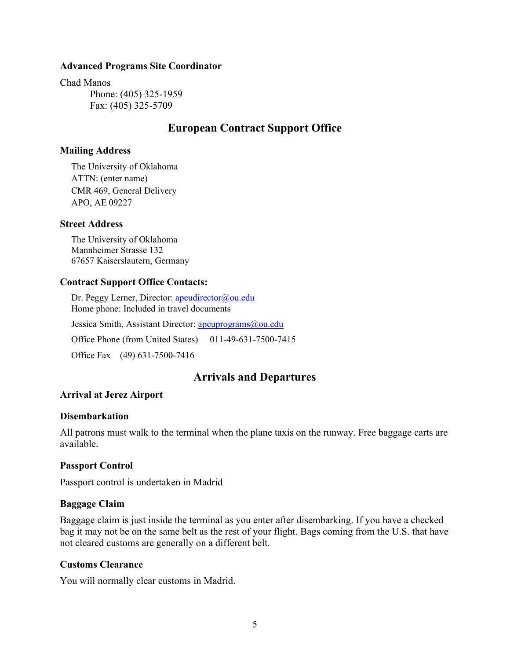#### **Advanced Programs Site Coordinator**

Chad Manos

Phone: (405) 325-1959 Fax: (405) 325-5709

### **European Contract Support Office**

#### **Mailing Address**

The University of Oklahoma ATTN: (enter name) CMR 469, General Delivery APO, AE 09227

#### **Street Address**

The University of Oklahoma Mannheimer Strasse 132 67657 Kaiserslautern, Germany

#### **Contract Support Office Contacts:**

Dr. Peggy Lerner, Director: [apeudirector@ou.edu](mailto:apeudirector@ou.edu) Home phone: Included in travel documents Jessica Smith, Assistant Director: [apeuprograms@ou.edu](mailto:apeuprograms@ou.edu) Office Phone (from United States) 011-49-631-7500-7415 Office Fax (49) 631-7500-7416

### **Arrivals and Departures**

#### **Arrival at Jerez Airport**

#### **Disembarkation**

All patrons must walk to the terminal when the plane taxis on the runway. Free baggage carts are available.

#### **Passport Control**

Passport control is undertaken in Madrid

#### **Baggage Claim**

Baggage claim is just inside the terminal as you enter after disembarking. If you have a checked bag it may not be on the same belt as the rest of your flight. Bags coming from the U.S. that have not cleared customs are generally on a different belt.

#### **Customs Clearance**

You will normally clear customs in Madrid.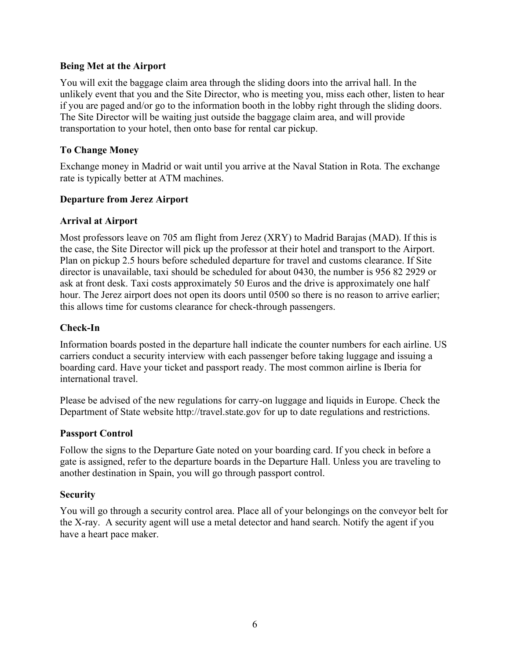### **Being Met at the Airport**

You will exit the baggage claim area through the sliding doors into the arrival hall. In the unlikely event that you and the Site Director, who is meeting you, miss each other, listen to hear if you are paged and/or go to the information booth in the lobby right through the sliding doors. The Site Director will be waiting just outside the baggage claim area, and will provide transportation to your hotel, then onto base for rental car pickup.

### **To Change Money**

Exchange money in Madrid or wait until you arrive at the Naval Station in Rota. The exchange rate is typically better at ATM machines.

### **Departure from Jerez Airport**

### **Arrival at Airport**

Most professors leave on 705 am flight from Jerez (XRY) to Madrid Barajas (MAD). If this is the case, the Site Director will pick up the professor at their hotel and transport to the Airport. Plan on pickup 2.5 hours before scheduled departure for travel and customs clearance. If Site director is unavailable, taxi should be scheduled for about 0430, the number is 956 82 2929 or ask at front desk. Taxi costs approximately 50 Euros and the drive is approximately one half hour. The Jerez airport does not open its doors until 0500 so there is no reason to arrive earlier; this allows time for customs clearance for check-through passengers.

### **Check-In**

Information boards posted in the departure hall indicate the counter numbers for each airline. US carriers conduct a security interview with each passenger before taking luggage and issuing a boarding card. Have your ticket and passport ready. The most common airline is Iberia for international travel.

Please be advised of the new regulations for carry-on luggage and liquids in Europe. Check the Department of State website http://travel.state.gov for up to date regulations and restrictions.

#### **Passport Control**

Follow the signs to the Departure Gate noted on your boarding card. If you check in before a gate is assigned, refer to the departure boards in the Departure Hall. Unless you are traveling to another destination in Spain, you will go through passport control.

#### **Security**

You will go through a security control area. Place all of your belongings on the conveyor belt for the X-ray. A security agent will use a metal detector and hand search. Notify the agent if you have a heart pace maker.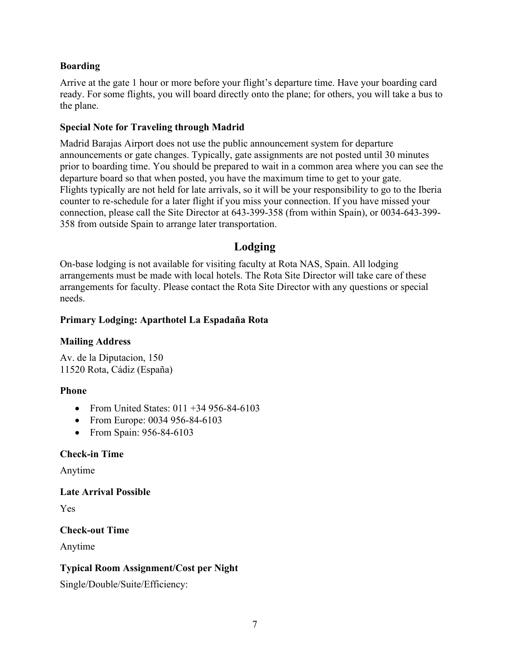### **Boarding**

Arrive at the gate 1 hour or more before your flight's departure time. Have your boarding card ready. For some flights, you will board directly onto the plane; for others, you will take a bus to the plane.

### **Special Note for Traveling through Madrid**

Madrid Barajas Airport does not use the public announcement system for departure announcements or gate changes. Typically, gate assignments are not posted until 30 minutes prior to boarding time. You should be prepared to wait in a common area where you can see the departure board so that when posted, you have the maximum time to get to your gate. Flights typically are not held for late arrivals, so it will be your responsibility to go to the Iberia counter to re-schedule for a later flight if you miss your connection. If you have missed your connection, please call the Site Director at 643-399-358 (from within Spain), or 0034-643-399- 358 from outside Spain to arrange later transportation.

# **Lodging**

On-base lodging is not available for visiting faculty at Rota NAS, Spain. All lodging arrangements must be made with local hotels. The Rota Site Director will take care of these arrangements for faculty. Please contact the Rota Site Director with any questions or special needs.

### **Primary Lodging: Aparthotel La Espadaña Rota**

### **Mailing Address**

Av. de la Diputacion, 150 11520 Rota, Cádiz (España)

### **Phone**

- From United States: 011 +34 956-84-6103
- From Europe: 0034 956-84-6103
- From Spain: 956-84-6103

### **Check-in Time**

Anytime

### **Late Arrival Possible**

Yes

### **Check-out Time**

Anytime

### **Typical Room Assignment/Cost per Night**

Single/Double/Suite/Efficiency: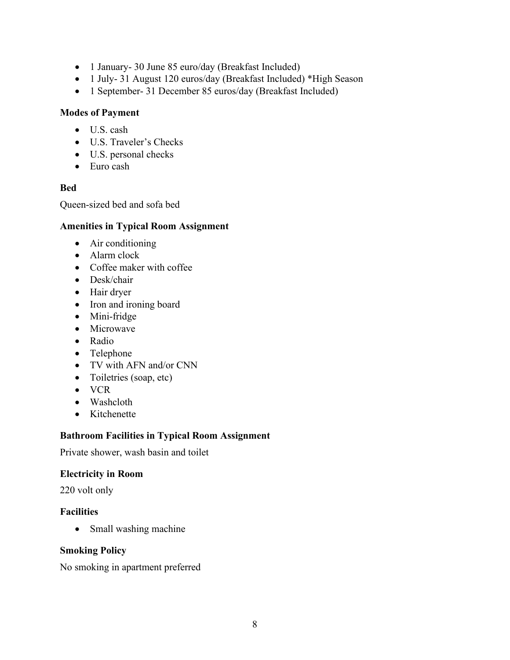- 1 January- 30 June 85 euro/day (Breakfast Included)
- 1 July- 31 August 120 euros/day (Breakfast Included) \*High Season
- 1 September- 31 December 85 euros/day (Breakfast Included)

### **Modes of Payment**

- U.S. cash
- U.S. Traveler's Checks
- U.S. personal checks
- Euro cash

### **Bed**

Queen-sized bed and sofa bed

### **Amenities in Typical Room Assignment**

- Air conditioning
- Alarm clock
- Coffee maker with coffee
- Desk/chair
- Hair dryer
- Iron and ironing board
- Mini-fridge
- Microwave
- Radio
- Telephone
- TV with AFN and/or CNN
- Toiletries (soap, etc)
- VCR
- Washcloth
- Kitchenette

### **Bathroom Facilities in Typical Room Assignment**

Private shower, wash basin and toilet

### **Electricity in Room**

220 volt only

### **Facilities**

• Small washing machine

### **Smoking Policy**

No smoking in apartment preferred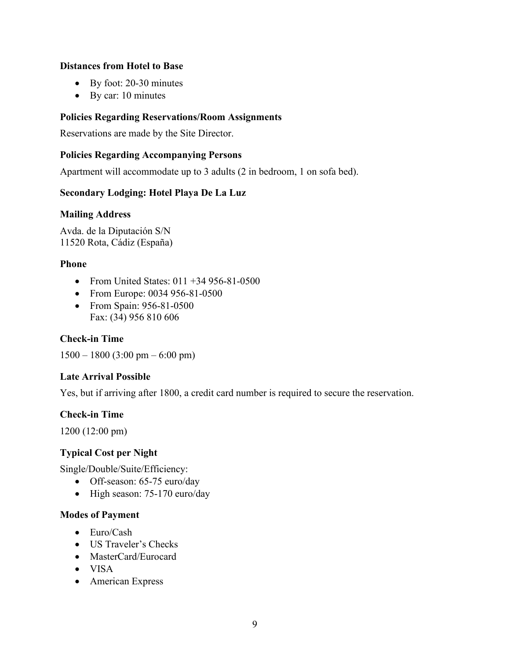### **Distances from Hotel to Base**

- By foot: 20-30 minutes
- By car: 10 minutes

### **Policies Regarding Reservations/Room Assignments**

Reservations are made by the Site Director.

### **Policies Regarding Accompanying Persons**

Apartment will accommodate up to 3 adults (2 in bedroom, 1 on sofa bed).

### **Secondary Lodging: Hotel Playa De La Luz**

#### **Mailing Address**

Avda. de la Diputación S/N 11520 Rota, Cádiz (España)

### **Phone**

- From United States:  $011 + 34956 81 0500$
- From Europe: 0034 956-81-0500
- From Spain: 956-81-0500 Fax: (34) 956 810 606

### **Check-in Time**

 $1500 - 1800 (3:00 \text{ pm} - 6:00 \text{ pm})$ 

#### **Late Arrival Possible**

Yes, but if arriving after 1800, a credit card number is required to secure the reservation.

#### **Check-in Time**

1200 (12:00 pm)

### **Typical Cost per Night**

Single/Double/Suite/Efficiency:

- Off-season: 65-75 euro/day
- High season: 75-170 euro/day

#### **Modes of Payment**

- Euro/Cash
- US Traveler's Checks
- MasterCard/Eurocard
- VISA
- American Express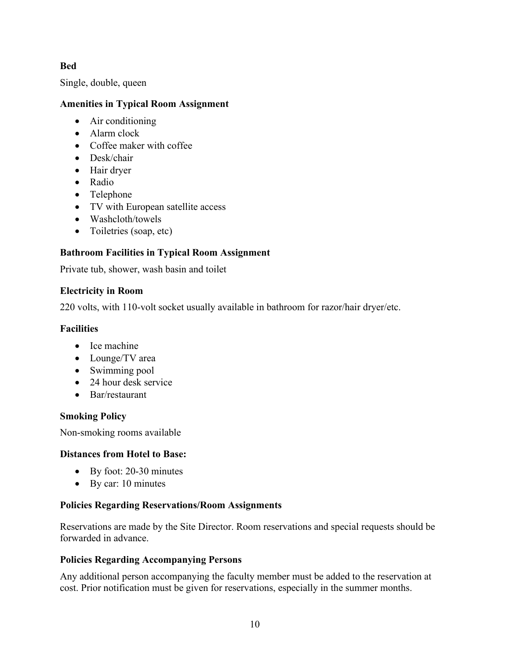### **Bed**

Single, double, queen

### **Amenities in Typical Room Assignment**

- Air conditioning
- Alarm clock
- Coffee maker with coffee
- Desk/chair
- Hair dryer
- Radio
- Telephone
- TV with European satellite access
- Washcloth/towels
- Toiletries (soap, etc)

# **Bathroom Facilities in Typical Room Assignment**

Private tub, shower, wash basin and toilet

### **Electricity in Room**

220 volts, with 110-volt socket usually available in bathroom for razor/hair dryer/etc.

### **Facilities**

- Ice machine
- Lounge/TV area
- Swimming pool
- 24 hour desk service
- Bar/restaurant

# **Smoking Policy**

Non-smoking rooms available

### **Distances from Hotel to Base:**

- By foot: 20-30 minutes
- By car: 10 minutes

### **Policies Regarding Reservations/Room Assignments**

Reservations are made by the Site Director. Room reservations and special requests should be forwarded in advance.

### **Policies Regarding Accompanying Persons**

Any additional person accompanying the faculty member must be added to the reservation at cost. Prior notification must be given for reservations, especially in the summer months.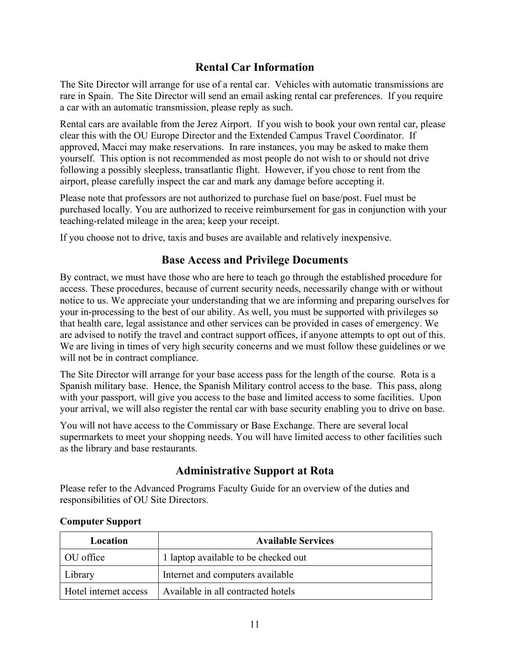# **Rental Car Information**

The Site Director will arrange for use of a rental car. Vehicles with automatic transmissions are rare in Spain. The Site Director will send an email asking rental car preferences. If you require a car with an automatic transmission, please reply as such.

Rental cars are available from the Jerez Airport. If you wish to book your own rental car, please clear this with the OU Europe Director and the Extended Campus Travel Coordinator. If approved, Macci may make reservations. In rare instances, you may be asked to make them yourself. This option is not recommended as most people do not wish to or should not drive following a possibly sleepless, transatlantic flight. However, if you chose to rent from the airport, please carefully inspect the car and mark any damage before accepting it.

Please note that professors are not authorized to purchase fuel on base/post. Fuel must be purchased locally. You are authorized to receive reimbursement for gas in conjunction with your teaching-related mileage in the area; keep your receipt.

If you choose not to drive, taxis and buses are available and relatively inexpensive.

# **Base Access and Privilege Documents**

By contract, we must have those who are here to teach go through the established procedure for access. These procedures, because of current security needs, necessarily change with or without notice to us. We appreciate your understanding that we are informing and preparing ourselves for your in-processing to the best of our ability. As well, you must be supported with privileges so that health care, legal assistance and other services can be provided in cases of emergency. We are advised to notify the travel and contract support offices, if anyone attempts to opt out of this. We are living in times of very high security concerns and we must follow these guidelines or we will not be in contract compliance.

The Site Director will arrange for your base access pass for the length of the course. Rota is a Spanish military base. Hence, the Spanish Military control access to the base. This pass, along with your passport, will give you access to the base and limited access to some facilities. Upon your arrival, we will also register the rental car with base security enabling you to drive on base.

You will not have access to the Commissary or Base Exchange. There are several local supermarkets to meet your shopping needs. You will have limited access to other facilities such as the library and base restaurants.

# **Administrative Support at Rota**

Please refer to the Advanced Programs Faculty Guide for an overview of the duties and responsibilities of OU Site Directors.

| Location              | <b>Available Services</b>            |
|-----------------------|--------------------------------------|
| OU office             | 1 laptop available to be checked out |
| Library               | Internet and computers available     |
| Hotel internet access | Available in all contracted hotels   |

### **Computer Support**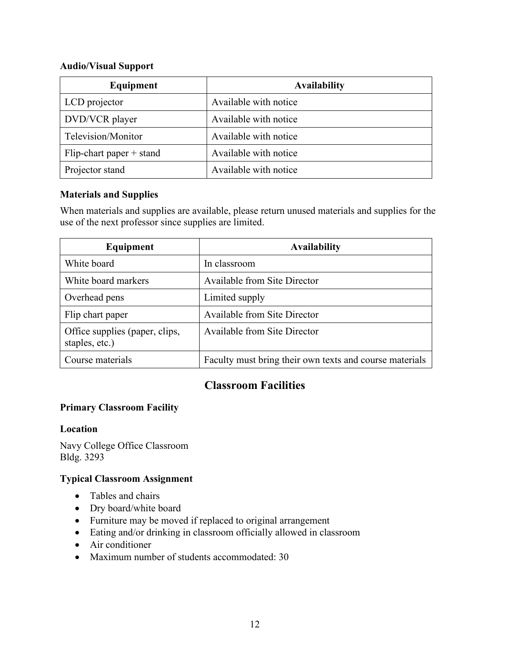#### **Audio/Visual Support**

| Equipment                   | <b>Availability</b>   |
|-----------------------------|-----------------------|
| LCD projector               | Available with notice |
| DVD/VCR player              | Available with notice |
| Television/Monitor          | Available with notice |
| $Flip$ -chart paper + stand | Available with notice |
| Projector stand             | Available with notice |

### **Materials and Supplies**

When materials and supplies are available, please return unused materials and supplies for the use of the next professor since supplies are limited.

| Equipment                                        | <b>Availability</b>                                     |
|--------------------------------------------------|---------------------------------------------------------|
| White board                                      | In classroom                                            |
| White board markers                              | Available from Site Director                            |
| Overhead pens                                    | Limited supply                                          |
| Flip chart paper                                 | <b>Available from Site Director</b>                     |
| Office supplies (paper, clips,<br>staples, etc.) | Available from Site Director                            |
| Course materials                                 | Faculty must bring their own texts and course materials |

# **Classroom Facilities**

### **Primary Classroom Facility**

#### **Location**

Navy College Office Classroom Bldg. 3293

### **Typical Classroom Assignment**

- Tables and chairs
- Dry board/white board
- Furniture may be moved if replaced to original arrangement
- Eating and/or drinking in classroom officially allowed in classroom
- Air conditioner
- Maximum number of students accommodated: 30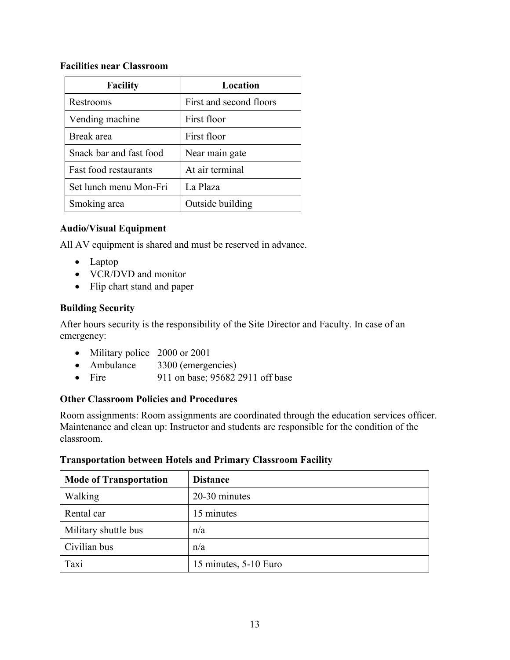### **Facilities near Classroom**

| <b>Facility</b>         | Location                |
|-------------------------|-------------------------|
| Restrooms               | First and second floors |
| Vending machine         | First floor             |
| Break area              | First floor             |
| Snack bar and fast food | Near main gate          |
| Fast food restaurants   | At air terminal         |
| Set lunch menu Mon-Fri  | La Plaza                |
| Smoking area            | Outside building        |

### **Audio/Visual Equipment**

All AV equipment is shared and must be reserved in advance.

- Laptop
- VCR/DVD and monitor
- Flip chart stand and paper

### **Building Security**

After hours security is the responsibility of the Site Director and Faculty. In case of an emergency:

- Military police 2000 or 2001
- Ambulance 3300 (emergencies)
- Fire 911 on base:  $956822911$  off base

### **Other Classroom Policies and Procedures**

Room assignments: Room assignments are coordinated through the education services officer. Maintenance and clean up: Instructor and students are responsible for the condition of the classroom.

# **Mode of Transportation Distance** Walking 20-30 minutes Rental car 15 minutes Military shuttle bus  $|n/a|$ Civilian bus  $n/a$ Taxi 15 minutes, 5-10 Euro

### **Transportation between Hotels and Primary Classroom Facility**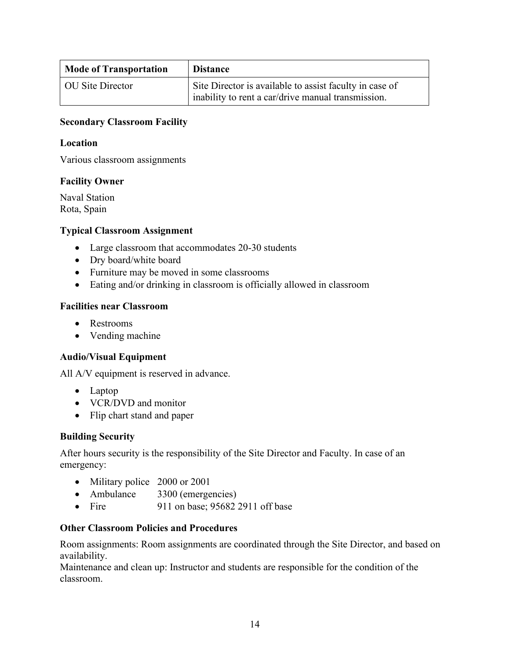| <b>Mode of Transportation</b> | <b>Distance</b>                                                                                               |
|-------------------------------|---------------------------------------------------------------------------------------------------------------|
| OU Site Director              | Site Director is available to assist faculty in case of<br>inability to rent a car/drive manual transmission. |

### **Secondary Classroom Facility**

#### **Location**

Various classroom assignments

### **Facility Owner**

Naval Station Rota, Spain

#### **Typical Classroom Assignment**

- Large classroom that accommodates 20-30 students
- Dry board/white board
- Furniture may be moved in some classrooms
- Eating and/or drinking in classroom is officially allowed in classroom

### **Facilities near Classroom**

- Restrooms
- Vending machine

### **Audio/Visual Equipment**

All A/V equipment is reserved in advance.

- Laptop
- VCR/DVD and monitor
- Flip chart stand and paper

#### **Building Security**

After hours security is the responsibility of the Site Director and Faculty. In case of an emergency:

- Military police 2000 or 2001
- Ambulance 3300 (emergencies)
- Fire 911 on base; 95682 2911 off base

### **Other Classroom Policies and Procedures**

Room assignments: Room assignments are coordinated through the Site Director, and based on availability.

Maintenance and clean up: Instructor and students are responsible for the condition of the classroom.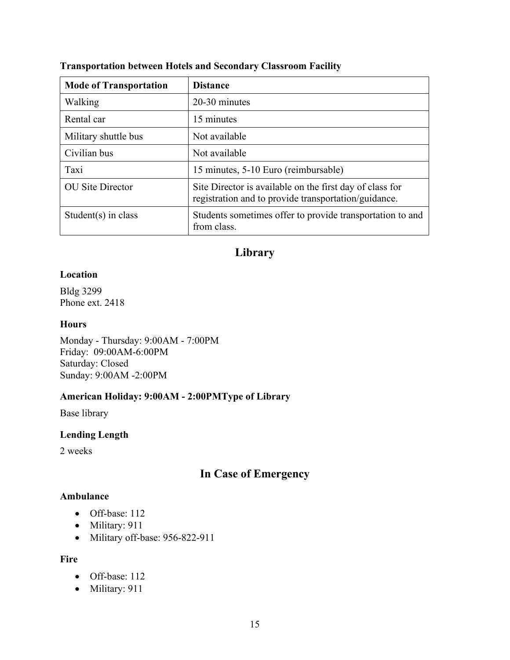| <b>Mode of Transportation</b> | <b>Distance</b>                                                                                                  |
|-------------------------------|------------------------------------------------------------------------------------------------------------------|
| Walking                       | 20-30 minutes                                                                                                    |
| Rental car                    | 15 minutes                                                                                                       |
| Military shuttle bus          | Not available                                                                                                    |
| Civilian bus                  | Not available                                                                                                    |
| Taxi                          | 15 minutes, 5-10 Euro (reimbursable)                                                                             |
| <b>OU</b> Site Director       | Site Director is available on the first day of class for<br>registration and to provide transportation/guidance. |
| Student(s) in class           | Students sometimes offer to provide transportation to and<br>from class.                                         |

### **Transportation between Hotels and Secondary Classroom Facility**

# **Library**

#### **Location**

Bldg 3299 Phone ext. 2418

### **Hours**

Monday - Thursday: 9:00AM - 7:00PM Friday: 09:00AM-6:00PM Saturday: Closed Sunday: 9:00AM -2:00PM

### **American Holiday: 9:00AM - 2:00PMType of Library**

Base library

### **Lending Length**

2 weeks

# **In Case of Emergency**

### **Ambulance**

- Off-base: 112
- Military: 911
- Military off-base: 956-822-911

### **Fire**

- Off-base: 112
- Military: 911